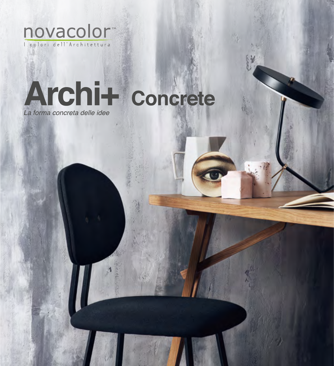

# Archi+ concrete

La forma concreta delle idee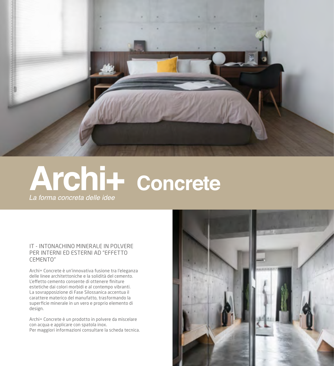

## Archi+ concrete

La forma concreta delle idee

#### IT - INTONACHINO MINERALE IN POLVERE PER INTERNI ED ESTERNI AD "EFFETTO CEMENTO"

Archi+ Concrete è un'innovativa fusione tra l'eleganza delle linee architettoniche e la solidità del cemento. L'effetto cemento consente di ottenere finiture estetiche dai colori morbidi e al contempo vibranti. La sovrapposizione di Fase Silossanica accentua il carattere materico del manufatto, trasformando la superficie minerale in un vero e proprio elemento di design.

Archi+ Concrete è un prodotto in polvere da miscelare con acqua e applicare con spatola inox. Per maggiori informazioni consultare la scheda tecnica.

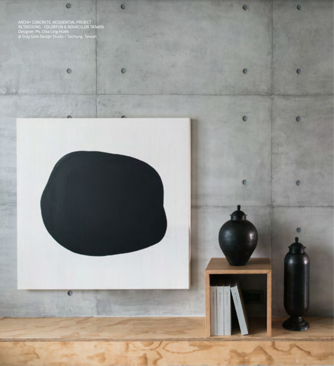ARCHI+ CONCRETE, RESIDENTIAL PROJECT IN TAICHUNG - COLORFUN & NOVACOLOR TAIWAN Designer: Ms. Chia-Ling Hsieh @ Gray Gate Design Studio / Taichung, Taiwan

e

 $\bullet$ 

c

 $\overline{a}$ 

18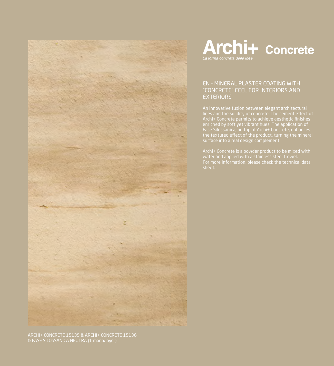

**Archi+ Concrete** 

#### EN - MINERAL PLASTER COATING WITH "CONCRETE" FEEL FOR INTERIORS AND **EXTERIORS**

An innovative fusion between elegant architectural enriched by soft yet vibrant hues. The application of Fase Silossanica, on top of Archi+ Concrete, enhances the textured effect of the product, turning the mineral surface into a real design complement.

water and applied with a stainless steel trowel. For more information, please check the technical data

ARCHI+ CONCRETE 15135 & ARCHI+ CONCRETE 15136 & FASE SILOSSANICA NEUTRA (1 mano/layer)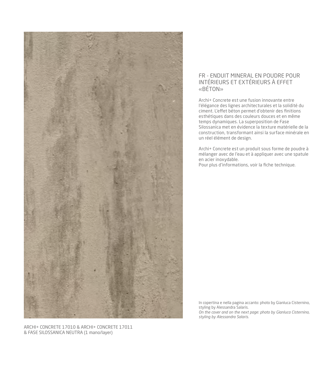

#### FR - ENDUIT MINERAL EN POUDRE POUR INTÉRIEURS ET EXTÉRIEURS À EFFET «BÉTON»

Archi+ Concrete est une fusion innovante entre l'élégance des lignes architecturales et la solidité du ciment. L'effet béton permet d'obtenir des finitions esthétiques dans des couleurs douces et en même temps dynamiques. La superposition de Fase Silossanica met en évidence la texture matérielle de la construction, transformant ainsi la surface minérale en un réel élément de design.

Archi+ Concrete est un produit sous forme de poudre à mélanger avec de l'eau et à appliquer avec une spatule en acier inoxydable.

Pour plus d'informations, voir la fiche technique.

In copertina e nella pagina accanto: photo by Gianluca Cisternino, styling by Alessandra Salaris. *On the cover and on the next page: photo by Gianluca Cisternino, styling by Alessandra Salaris.*

ARCHI+ CONCRETE 17010 & ARCHI+ CONCRETE 17011 & FASE SILOSSANICA NEUTRA (1 mano/layer)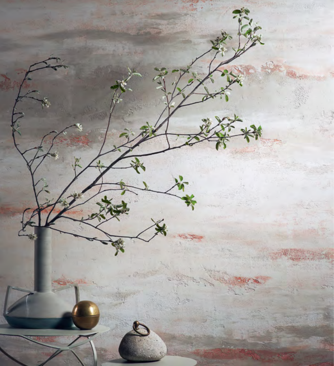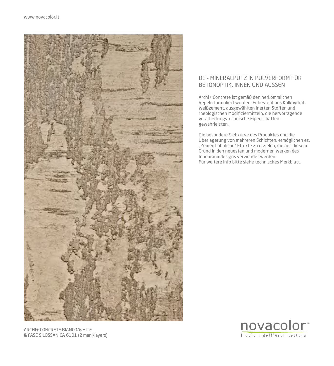

#### DE - MINERALPUTZ IN PULVERFORM FÜR BETONOPTIK, INNEN UND AUSSEN

Archi+ Concrete ist gemäß den herkömmlichen Regeln formuliert worden. Er besteht aus Kalkhydrat, Weißzement, ausgewählten inerten Stoffen und rheologischen Modifiziermitteln, die hervorragende verarbeitungstechnische Eigenschaften gewährleisten.

Die besondere Siebkurve des Produktes und die Überlagerung von mehreren Schichten, ermöglichen es, "Zement-ähnliche" Effekte zu erzielen, die aus diesem Grund in den neuesten und modernen Werken des Innenraumdesigns verwendet werden. Für weitere Info bitte siehe technisches Merkblatt.



ARCHI+ CONCRETE BIANCO/WHITE & FASE SILOSSANICA 6101 (2 mani/layers)